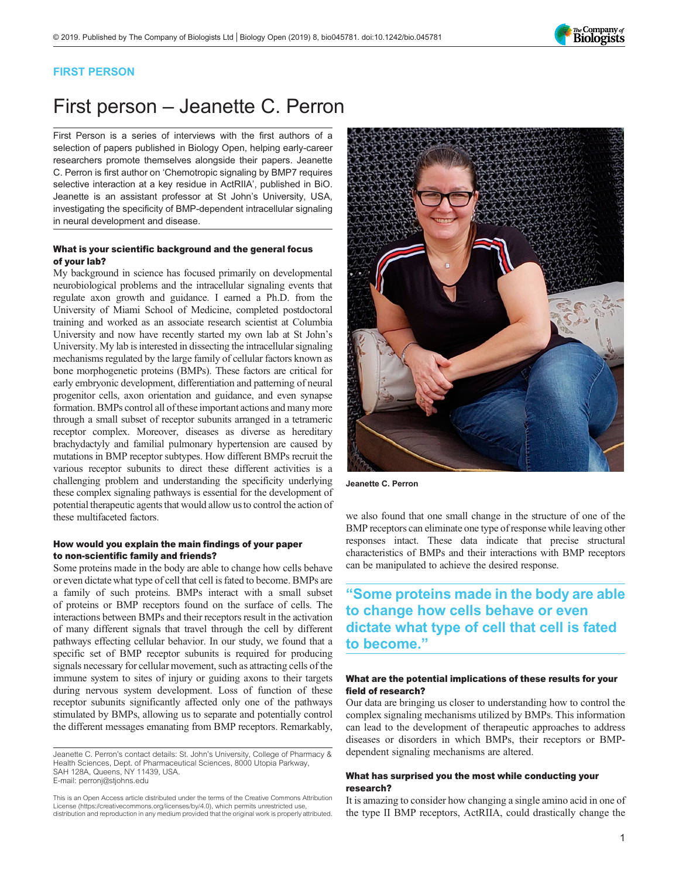

### FIRST PERSON

# First person – Jeanette C. Perron

First Person is a series of interviews with the first authors of a selection of papers published in Biology Open, helping early-career researchers promote themselves alongside their papers. Jeanette C. Perron is first author on '[Chemotropic signaling by BMP7 requires](#page-1-0) [selective interaction at a key residue in ActRIIA](#page-1-0)', published in BiO. Jeanette is an assistant professor at St John's University, USA, investigating the specificity of BMP-dependent intracellular signaling in neural development and disease.

#### What is your scientific background and the general focus of your lab?

My background in science has focused primarily on developmental neurobiological problems and the intracellular signaling events that regulate axon growth and guidance. I earned a Ph.D. from the University of Miami School of Medicine, completed postdoctoral training and worked as an associate research scientist at Columbia University and now have recently started my own lab at St John's University. My lab is interested in dissecting the intracellular signaling mechanisms regulated by the large family of cellular factors known as bone morphogenetic proteins (BMPs). These factors are critical for early embryonic development, differentiation and patterning of neural progenitor cells, axon orientation and guidance, and even synapse formation. BMPs control all of these important actions and many more through a small subset of receptor subunits arranged in a tetrameric receptor complex. Moreover, diseases as diverse as hereditary brachydactyly and familial pulmonary hypertension are caused by mutations in BMP receptor subtypes. How different BMPs recruit the various receptor subunits to direct these different activities is a challenging problem and understanding the specificity underlying these complex signaling pathways is essential for the development of potential therapeutic agents that would allow us to control the action of these multifaceted factors.

#### How would you explain the main findings of your paper to non-scientific family and friends?

Some proteins made in the body are able to change how cells behave or even dictate what type of cell that cell is fated to become. BMPs are a family of such proteins. BMPs interact with a small subset of proteins or BMP receptors found on the surface of cells. The interactions between BMPs and their receptors result in the activation of many different signals that travel through the cell by different pathways effecting cellular behavior. In our study, we found that a specific set of BMP receptor subunits is required for producing signals necessary for cellular movement, such as attracting cells of the immune system to sites of injury or guiding axons to their targets during nervous system development. Loss of function of these receptor subunits significantly affected only one of the pathways stimulated by BMPs, allowing us to separate and potentially control the different messages emanating from BMP receptors. Remarkably,

Jeanette C. Perron's contact details: St. John's University, College of Pharmacy & Health Sciences, Dept. of Pharmaceutical Sciences, 8000 Utopia Parkway, SAH 128A, Queens, NY 11439, USA. E-mail: [perronj@stjohns.edu](mailto:perronj@stjohns.edu)

This is an Open Access article distributed under the terms of the Creative Commons Attribution License (https://creativecommons.org/licenses/by/4.0), which permits unrestricted use, distribution and reproduction in any medium provided that the original work is properly attributed.



Jeanette C. Perron

we also found that one small change in the structure of one of the BMP receptors can eliminate one type of response while leaving other responses intact. These data indicate that precise structural characteristics of BMPs and their interactions with BMP receptors can be manipulated to achieve the desired response.

## "Some proteins made in the body are able to change how cells behave or even dictate what type of cell that cell is fated to become."

#### What are the potential implications of these results for your field of research?

Our data are bringing us closer to understanding how to control the complex signaling mechanisms utilized by BMPs. This information can lead to the development of therapeutic approaches to address diseases or disorders in which BMPs, their receptors or BMPdependent signaling mechanisms are altered.

#### What has surprised you the most while conducting your research?

It is amazing to consider how changing a single amino acid in one of the type II BMP receptors, ActRIIA, could drastically change the